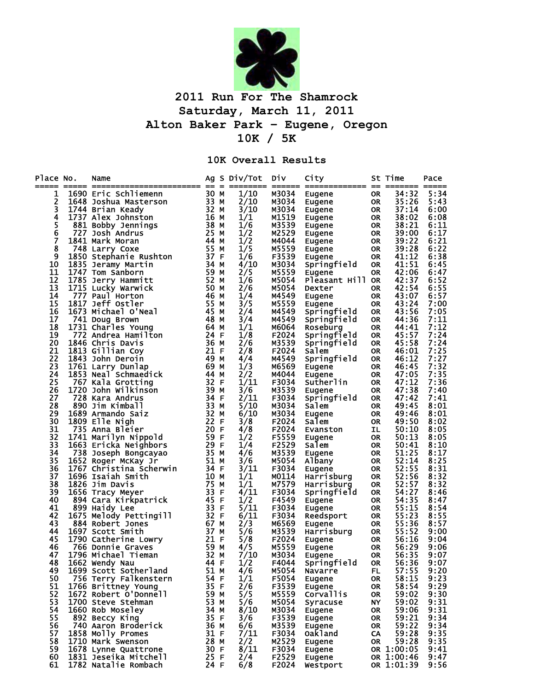

## **2011 Run For The Shamrock Saturday, March 11, 2011 Alton Baker Park – Eugene, Oregon 10K / 5K**

## **10K Overall Results**

| Place No. | Name<br>===== ======================== == = |           |              | Ag S Div/Tot | Div            | City<br>====== ============= | $=$       | St Time<br>============== | Pace |
|-----------|---------------------------------------------|-----------|--------------|--------------|----------------|------------------------------|-----------|---------------------------|------|
| 1         | 1690 Eric Schliemenn                        | 30 M      |              | 1/10         | M3034          | Eugene                       | <b>OR</b> | 34:32                     | 5:34 |
| 2         | 1648 Joshua Masterson                       | 33 M      |              | 2/10         | M3034          | Eugene                       | <b>OR</b> | 35:26                     | 5:43 |
| 3         | 1744 Brian Keady                            | 32 M      |              | 3/10         | M3034          | Eugene                       | <b>OR</b> | 37:14                     | 6:00 |
| 4         | 1737 Alex Johnston                          | 16 M      |              | 1/1          | M1519          | Eugene                       | <b>OR</b> | 38:02                     | 6:08 |
| 5         | 881 Bobby Jennings                          | 38        | м            | 1/6          | M3539          | Eugene                       | <b>OR</b> | 38:21                     | 6:11 |
| 6         | 727 Josh Andrus                             | 25        | м            | 1/2          | M2529          | Eugene                       | <b>OR</b> | 39:00                     | 6:17 |
| 7         | 1841 Mark Moran                             | 44        | м            | 1/2          | M4044          | Eugene                       | <b>OR</b> | 39:22                     | 6:21 |
| 8         | 748 Larry Coxe                              | 55        | м            | 1/5          | M5559          | Eugene                       | <b>OR</b> | 39:28                     | 6:22 |
| 9         | 1850 Stephanie Rushton                      | 37        | F            | 1/6          | F3539          | Eugene                       | <b>OR</b> | 41:12                     | 6:38 |
| 10        | 1835 Jeramy Martin                          | 34        | м            | 4/10         | M3034          | Springfield                  | <b>OR</b> | 41:51                     | 6:45 |
| 11        | 1747 Tom Sanborn                            | 59        | М            | 2/5          | M5559          | <b>Eugene</b>                | <b>OR</b> | 42:06                     | 6:47 |
| 12        | 1785 Jerry Hammitt                          | 52        | м            | 1/6          | M5054          | Pleasant Hill OR             |           | 42:37                     | 6:52 |
| 13        | 1715 Lucky Warwick                          | 50        | м            | 2/6          | M5054          | Dexter                       | <b>OR</b> | 42:54                     | 6:55 |
| 14        | 777 Paul Horton                             | 46        | м            | 1/4          | M4549          | Eugene                       | <b>OR</b> | 43:07                     | 6:57 |
| 15        | 1817 Jeff Ostler                            | 55        | м            | 3/5          | M5559          | Eugene                       | <b>OR</b> | 43:24                     | 7:00 |
| 16        | 1673 Michael O'Neal                         | 45        | м            | 2/4          | M4549          | Springfield                  | <b>OR</b> | 43:56                     | 7:05 |
| 17        | 741 Doug Brown                              | 48        | м            | 3/4          | M4549          | Springfield                  | <b>OR</b> | 44:36                     | 7:11 |
| 18        | 1731 Charles Young                          | 64        | м            | 1/1          | M6064          | Roseburg                     | <b>OR</b> | 44:41                     | 7:12 |
| 19        | 772 Andrea Hamilton                         | 24        | E            | 1/8          | F2024          |                              | <b>OR</b> | 45:57                     | 7:24 |
| 20        | 1846 Chris Davis                            | 36        | М            | 2/6          | M3539          | Springfield                  | <b>OR</b> | 45:58                     | 7:24 |
| 21        |                                             | 21        | $\mathsf{F}$ |              |                | Springfield                  |           | 46:01                     |      |
| 22        | 1813 Gillian Coy                            |           |              | 2/8          | F2024          | Salem                        | <b>OR</b> |                           | 7:25 |
| 23        | 1843 John Deroin                            | 49        | м            | 4/4          | M4549<br>M6569 | Springfield                  | <b>OR</b> | 46:12                     | 7:27 |
| 24        | 1761 Larry Dunlap                           | 69<br>-44 | М            | 1/3          |                | Eugene                       | <b>OR</b> | 46:45                     | 7:32 |
| 25        | 1853 Neal Schmaedick                        | 32        | м<br>F       | 2/2          | M4044<br>F3034 | Eugene                       | <b>OR</b> | 47:05<br>47:12            | 7:35 |
| 26        | 767 Kala Grotting                           |           |              | 1/11         |                | Sutherlin                    | <b>OR</b> |                           | 7:36 |
| 27        | 1720 John Wilkinson                         | 39<br>34  | М<br>F       | 3/6          | M3539          | Eugene                       | <b>OR</b> | 47:38<br>47:42            | 7:40 |
| 28        | 728 Kara Andrus                             | 33        |              | 2/11         | F3034          | Springfield                  | <b>OR</b> |                           | 7:41 |
|           | 890 Jim Kimball                             |           | м            | 5/10<br>6/10 | M3034          | Salem                        | <b>OR</b> | 49:45                     | 8:01 |
| 29        | 1689 Armando Saiz                           | 32        | M            |              | M3034          | Eugene                       | <b>OR</b> | 49:46                     | 8:01 |
| 30        | 1809 Elle Nigh                              | 22        | F            | 3/8          | F2024          | Salem                        | <b>OR</b> | 49:50                     | 8:02 |
| 31        | 735 Anna Bleier                             | 20        | F            | 4/8          | F2024          | Evanston                     | IL        | 50:10                     | 8:05 |
| 32        | 1741 Marilyn Nippold                        | 59        | F            | 1/2          | F5559          | Eugene                       | <b>OR</b> | 50:13                     | 8:05 |
| 33        | 1663 Ericka Neighbors                       | 29        | F            | 1/4          | F2529          | Salem                        | <b>OR</b> | 50:41                     | 8:10 |
| 34        | 738 Joseph Bongcayao                        | 35 M      |              | 4/6          | M3539          | Eugene                       | <b>OR</b> | 51:25                     | 8:17 |
| 35        | 1652 Roger McKay Jr                         | 51 M      |              | 3/6          | M5054          | Albany                       | <b>OR</b> | 52:14                     | 8:25 |
| 36        | 1767 Christina Scherwin                     | 34        | F            | 3/11         | F3034          | Eugene                       | <b>OR</b> | 52:55                     | 8:31 |
| 37        | 1696 Isaiah Smith                           | 10        | М            | 1/1          | M0114          | Harrisburg                   | <b>OR</b> | 52:56                     | 8:32 |
| 38        | 1826 Jim Davis                              | -75       | м            | 1/1          | M7579          | Harrisburg                   | <b>OR</b> | 52:57                     | 8:32 |
| 39        | 1656 Tracy Meyer                            | 33        | F            | 4/11         | F3034          | Springfield                  | <b>OR</b> | 54:27                     | 8:46 |
| 40        | 894 Cara Kirkpatrick                        | 45        | F            | 1/2          | F4549          | Eugene                       | <b>OR</b> | 54:35                     | 8:47 |
| 41        | 899 Haidy Lee                               | 33        | F            | 5/11         | F3034          | Eugene                       | <b>OR</b> | 55:15                     | 8:54 |
| 42        | 1675 Melody Pettingill                      | 32        | F            | 6/11         | F3034          | Reedsport                    | <b>OR</b> | 55:23                     | 8:55 |
| 43        | 884 Robert Jones                            | 67 M      |              | 2/3          | M6569          | Eugene                       | <b>OR</b> | 55:36                     | 8:57 |
| 44        | 1697 Scott Smith                            | 37 M      |              | 5/6          | M3539          | Harrisburg                   | <b>OR</b> | 55:52                     | 9:00 |
| 45        | 1790 Catherine Lowry                        | 21        | -F           | 5/8          | F2024          | Eugene                       | <b>OR</b> | 56:16                     | 9:04 |
| 46        | 766 Donnie Graves                           | 59 M      |              | 4/5          | M5559          | Eugene                       | <b>OR</b> | 56:29                     | 9:06 |
| 47        | 1796 Michael Tieman                         | 32 M      |              | 7/10         | M3034          | Eugene                       | <b>OR</b> | 56:35                     | 9:07 |
| 48        | 1662 Wendy Nau<br>44 F                      |           |              | 1/2          | F4044          | Springfield                  | <b>OR</b> | 56:36                     | 9:07 |
| 49        | 1699 Scott Sotherland                       | 51 M      |              | 4/6          | M5054          | Navarre                      | <b>FL</b> | 57:55                     | 9:20 |
| 50        | 756 Terry Falkenstern                       | 54 F      |              | 1/1          | F5054          | Eugene                       | <b>OR</b> | 58:15                     | 9:23 |
| 51        | 1766 Brittney Young                         | 35 F      |              | 2/6          | F3539          | Eugene                       | <b>OR</b> | 58:54                     | 9:29 |
| 52        | 1672 Robert O'Donnell                       | 59 M      |              | 5/5          | M5559          | <b>Corvallis</b>             | <b>OR</b> | 59:02                     | 9:30 |
| 53        | 1700 Steve Stehman                          | 53 M      |              | 5/6          | M5054          | <b>Syracuse</b>              | <b>NY</b> | 59:02                     | 9:31 |
| 54        | 1660 Rob Moseley                            | 34 M      |              | 8/10         | M3034          | Eugene                       | <b>OR</b> | 59:06                     | 9:31 |
| 55        | 892 Beccy King                              | 35 F      |              | 3/6          | F3539          | Eugene                       | <b>OR</b> | 59:21                     | 9:34 |
| 56        | 740 Aaron Broderick                         | 36 M      |              | 6/6          | M3539          | Eugene                       | <b>OR</b> | 59:22                     | 9:34 |
| 57        | 1858 Molly Promes                           | 31 F      |              | 7/11         | F3034          | 0ak1and                      | CA        | 59:28                     | 9:35 |
| 58        | 1710 Mark Swenson                           | 28 M      |              | 2/2          | M2529          | Eugene                       | <b>OR</b> | 59:28                     | 9:35 |
| 59        | 1678 Lynne Quattrone                        | 30 F      |              | 8/11         | F3034          | Eugene                       |           | OR 1:00:05                | 9:41 |
| 60        | 1831 Jeseika Mitchell                       | 25 F      |              | 2/4          | F2529          | Eugene                       |           | OR 1:00:46                | 9:47 |
| 61        | 1782 Natalie Rombach                        | 24 F      |              | 6/8          | F2024          | Westport                     |           | OR 1:01:39                | 9:56 |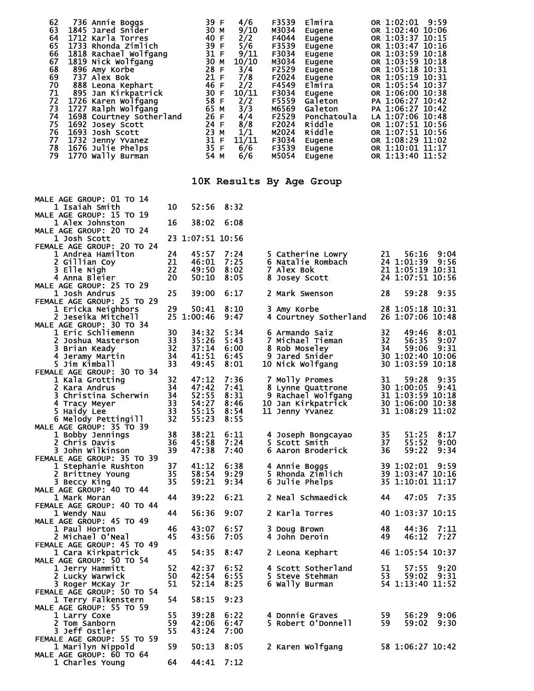| 62<br>736 Annie Boggs<br>63<br>1845 Jared Snider<br>64<br>1712 Karla Torres<br>65<br>1733 Rhonda Zimlich<br>66<br>1818 Rachael Wolfgang<br>67<br>1819 Nick Wolfgang<br>68<br>896 Amy Korbe<br>69<br>737 Alex Bok<br>70<br>888 Leona Kephart<br>71<br>895 Jan Kirkpatrick<br>72<br>1726 Karen Wolfgang<br>73<br>1727 Ralph Wolfgang<br>74<br>1698 Courtney Sotherland<br>75<br>1692 Josey Scott<br>76<br>1693 Josh Scott<br>77<br>1732 Jenny Yvanez<br>78<br>1676 Julie Phelps<br>79<br>1770 Wally Burman |          | 39 F<br>30 M<br>40 F<br>39 F<br>31 F<br>30 M<br>28 F<br>21 F<br>46 F<br>30 F<br>58 F<br>65 M<br>26 F<br>24 F<br>23 M<br>31 F<br>35 F<br>54 M | 4/6<br>9/10<br>2/2<br>5/6<br>9/11<br>10/10<br>3/4<br>7/8<br>2/2<br>10/11<br>2/2<br>3/3<br>4/4<br>8/8<br>1/1<br>11/11<br>6/6<br>6/6 |    | F3539<br>M3034<br>F4044<br>F3539<br>F3034<br>M3034<br>F2529<br>F2024<br>F4549<br>F3034<br>F5559<br>M6569<br>F2529<br>F2024<br>M2024<br>F3034<br>F3539<br>M5054 | Elmira<br>Eugene<br>Eugene<br>Eugene<br>Eugene<br>Eugene<br>Eugene<br>Eugene<br>Elmira<br>Eugene<br>Galeton<br>Galeton<br>Ponchatoula<br><b>Riddle</b><br>Riddle<br>Eugene<br>Eugene<br>Eugene |          | OR 1:02:01 9:59<br>OR 1:02:40 10:06<br>OR 1:03:37 10:15<br>OR 1:03:47 10:16<br>OR 1:03:59 10:18<br>OR 1:03:59 10:18<br>OR 1:05:18 10:31<br>OR 1:05:19 10:31<br>OR 1:05:54 10:37<br>OR 1:06:00 10:38<br>PA 1:06:27 10:42<br>PA 1:06:27 10:42<br>LA 1:07:06 10:48<br>OR 1:07:51 10:56<br>OR 1:07:51 10:56<br>OR 1:08:29 11:02<br>OR 1:10:01 11:17<br>OR 1:13:40 11:52 |              |
|----------------------------------------------------------------------------------------------------------------------------------------------------------------------------------------------------------------------------------------------------------------------------------------------------------------------------------------------------------------------------------------------------------------------------------------------------------------------------------------------------------|----------|----------------------------------------------------------------------------------------------------------------------------------------------|------------------------------------------------------------------------------------------------------------------------------------|----|----------------------------------------------------------------------------------------------------------------------------------------------------------------|------------------------------------------------------------------------------------------------------------------------------------------------------------------------------------------------|----------|---------------------------------------------------------------------------------------------------------------------------------------------------------------------------------------------------------------------------------------------------------------------------------------------------------------------------------------------------------------------|--------------|
|                                                                                                                                                                                                                                                                                                                                                                                                                                                                                                          |          |                                                                                                                                              |                                                                                                                                    |    |                                                                                                                                                                | 10K Results By Age Group                                                                                                                                                                       |          |                                                                                                                                                                                                                                                                                                                                                                     |              |
| MALE AGE GROUP: 01 TO 14<br>1 Isaiah Smith<br>MALE AGE GROUP: 15 TO 19                                                                                                                                                                                                                                                                                                                                                                                                                                   | 10       | 52:56                                                                                                                                        | 8:32                                                                                                                               |    |                                                                                                                                                                |                                                                                                                                                                                                |          |                                                                                                                                                                                                                                                                                                                                                                     |              |
| 1 Alex Johnston<br>MALE AGE GROUP: 20 TO 24                                                                                                                                                                                                                                                                                                                                                                                                                                                              | 16       | 38:02                                                                                                                                        | 6:08                                                                                                                               |    |                                                                                                                                                                |                                                                                                                                                                                                |          |                                                                                                                                                                                                                                                                                                                                                                     |              |
| <b>1 Josh Scott</b><br>FEMALE AGE GROUP: 20 TO 24                                                                                                                                                                                                                                                                                                                                                                                                                                                        |          | 23 1:07:51 10:56                                                                                                                             |                                                                                                                                    |    |                                                                                                                                                                |                                                                                                                                                                                                |          |                                                                                                                                                                                                                                                                                                                                                                     |              |
| 1 Andrea Hamilton<br>2 Gillian Coy                                                                                                                                                                                                                                                                                                                                                                                                                                                                       | 24<br>21 | 45:57<br>46:01                                                                                                                               | 7:24<br>7:25                                                                                                                       |    |                                                                                                                                                                | 5 Catherine Lowry<br>6 Natalie Rombach                                                                                                                                                         | 21       | 56:16<br>24 1:01:39                                                                                                                                                                                                                                                                                                                                                 | 9:04<br>9:56 |
| 3 Elle Nigh                                                                                                                                                                                                                                                                                                                                                                                                                                                                                              | 22       | 49:50                                                                                                                                        | 8:02                                                                                                                               |    | <b>7 Alex Bok</b>                                                                                                                                              |                                                                                                                                                                                                |          | 21 1:05:19 10:31                                                                                                                                                                                                                                                                                                                                                    |              |
| 4 Anna Bleier<br>MALE AGE GROUP: 25 TO 29                                                                                                                                                                                                                                                                                                                                                                                                                                                                | 20       | 50:10                                                                                                                                        | 8:05                                                                                                                               | 8. |                                                                                                                                                                | Josey Scott                                                                                                                                                                                    |          | 24 1:07:51 10:56                                                                                                                                                                                                                                                                                                                                                    |              |
| <b>1 Josh Andrus</b><br>FEMALE AGE GROUP: 25 TO 29                                                                                                                                                                                                                                                                                                                                                                                                                                                       | 25       | 39:00                                                                                                                                        | 6:17                                                                                                                               |    |                                                                                                                                                                | 2 Mark Swenson                                                                                                                                                                                 | 28       | 59:28                                                                                                                                                                                                                                                                                                                                                               | 9:35         |
| 1 Ericka Neighbors                                                                                                                                                                                                                                                                                                                                                                                                                                                                                       | 29       | 50:41                                                                                                                                        | 8:10                                                                                                                               |    | 3 Amy Korbe                                                                                                                                                    |                                                                                                                                                                                                |          | 28 1:05:18 10:31                                                                                                                                                                                                                                                                                                                                                    |              |
| 2 Jeseika Mitchell<br>MALE AGE GROUP: 30 TO 34                                                                                                                                                                                                                                                                                                                                                                                                                                                           |          | 25 1:00:46                                                                                                                                   | 9:47                                                                                                                               |    |                                                                                                                                                                | 4 Courtney Sotherland                                                                                                                                                                          |          | 26 1:07:06 10:48                                                                                                                                                                                                                                                                                                                                                    |              |
| 1 Eric Schliemenn<br>2 Joshua Masterson                                                                                                                                                                                                                                                                                                                                                                                                                                                                  | 30<br>33 | 34:32<br>35:26                                                                                                                               | 5:34<br>5:43                                                                                                                       |    |                                                                                                                                                                | 6 Armando Saiz<br>7 Michael Tieman                                                                                                                                                             | 32<br>32 | 49:46<br>56:35                                                                                                                                                                                                                                                                                                                                                      | 8:01<br>9:07 |
| 3 Brian Keady                                                                                                                                                                                                                                                                                                                                                                                                                                                                                            | 32       | 37:14                                                                                                                                        | 6:00                                                                                                                               |    |                                                                                                                                                                | 8 Rob Moseley                                                                                                                                                                                  | 34       | 59:06<br>30 1:02:40 10:06                                                                                                                                                                                                                                                                                                                                           | 9:31         |
| 4 Jeramy Martin<br>5 Jim Kimball                                                                                                                                                                                                                                                                                                                                                                                                                                                                         | 34<br>33 | 41:51<br>49:45                                                                                                                               | 6:45<br>8:01                                                                                                                       |    |                                                                                                                                                                | 9 Jared Snider<br>10 Nick Wolfgang                                                                                                                                                             |          | 30 1:03:59                                                                                                                                                                                                                                                                                                                                                          | 10:18        |
| FEMALE AGE GROUP: 30 TO 34<br>1 Kala Grotting                                                                                                                                                                                                                                                                                                                                                                                                                                                            | 32       | 47:12                                                                                                                                        | 7:36                                                                                                                               |    |                                                                                                                                                                | 7 Molly Promes                                                                                                                                                                                 | 31       | 59:28                                                                                                                                                                                                                                                                                                                                                               | 9:35         |
| 2 Kara Andrus<br>3 Christina Scherwin                                                                                                                                                                                                                                                                                                                                                                                                                                                                    | 34<br>34 | 47:42<br>52:55                                                                                                                               | 7:41<br>8:31                                                                                                                       |    |                                                                                                                                                                | 8 Lynne Quattrone                                                                                                                                                                              |          | 30 1:00:05<br>31 1:03:59 10:18                                                                                                                                                                                                                                                                                                                                      | 9:41         |
| 4 Tracy Meyer                                                                                                                                                                                                                                                                                                                                                                                                                                                                                            | 33       | 54:27                                                                                                                                        | 8:46                                                                                                                               |    |                                                                                                                                                                | 9 Rachael Wolfgang<br>10 Jan Kirkpatrick                                                                                                                                                       |          | 30 1:06:00 10:38                                                                                                                                                                                                                                                                                                                                                    |              |
| 5 Haidy Lee<br>6 Melody Pettingill                                                                                                                                                                                                                                                                                                                                                                                                                                                                       | 33<br>32 | 55:15<br>55:23                                                                                                                               | 8:54<br>8:55                                                                                                                       |    |                                                                                                                                                                | 11 Jenny Yvanez                                                                                                                                                                                |          | 31 1:08:29 11:02                                                                                                                                                                                                                                                                                                                                                    |              |
| MALE AGE GROUP: 35 TO 39                                                                                                                                                                                                                                                                                                                                                                                                                                                                                 | 38       | 38:21                                                                                                                                        | 6:11                                                                                                                               |    |                                                                                                                                                                |                                                                                                                                                                                                | 35       | 51:25                                                                                                                                                                                                                                                                                                                                                               | 8:17         |
| 1 Bobby Jennings<br>2 Chris Davis                                                                                                                                                                                                                                                                                                                                                                                                                                                                        | 36       | 45:58                                                                                                                                        | 7:24                                                                                                                               |    |                                                                                                                                                                | 4 Joseph Bongcayao<br>5 Scott Smith                                                                                                                                                            | 37       | 55:52                                                                                                                                                                                                                                                                                                                                                               | 9:00         |
| 3 John Wilkinson<br>FEMALE AGE GROUP: 35 TO 39                                                                                                                                                                                                                                                                                                                                                                                                                                                           | 39       | 47:38                                                                                                                                        | 7:40                                                                                                                               |    |                                                                                                                                                                | 6 Aaron Broderick                                                                                                                                                                              | 36       | 59:22                                                                                                                                                                                                                                                                                                                                                               | 9:34         |
| 1 Stephanie Rushton                                                                                                                                                                                                                                                                                                                                                                                                                                                                                      | 37<br>35 | 41:12<br>58:54                                                                                                                               | 6:38<br>9:29                                                                                                                       |    |                                                                                                                                                                | 4 Annie Boggs<br>5 Rhonda Zimlich                                                                                                                                                              |          | 39 1:02:01<br>39 1:03:47 10:16                                                                                                                                                                                                                                                                                                                                      | 9:59         |
| 2 Brittney Young<br>3 Beccy King                                                                                                                                                                                                                                                                                                                                                                                                                                                                         | 35       | 59:21                                                                                                                                        | 9:34                                                                                                                               |    |                                                                                                                                                                | 6 Julie Phelps                                                                                                                                                                                 |          | 35 1:10:01 11:17                                                                                                                                                                                                                                                                                                                                                    |              |
| MALE AGE GROUP: 40 TO 44<br>1 Mark Moran                                                                                                                                                                                                                                                                                                                                                                                                                                                                 | 44       | 39:22                                                                                                                                        | 6:21                                                                                                                               |    |                                                                                                                                                                | 2 Neal Schmaedick                                                                                                                                                                              | 44       | 47:05                                                                                                                                                                                                                                                                                                                                                               | 7:35         |
| FEMALE AGE GROUP: 40 TO 44<br>1 Wendy Nau                                                                                                                                                                                                                                                                                                                                                                                                                                                                | 44       | 56:36                                                                                                                                        | 9:07                                                                                                                               |    |                                                                                                                                                                | 2 Karla Torres                                                                                                                                                                                 |          | 40 1:03:37 10:15                                                                                                                                                                                                                                                                                                                                                    |              |
| MALE AGE GROUP: 45 TO 49                                                                                                                                                                                                                                                                                                                                                                                                                                                                                 |          |                                                                                                                                              |                                                                                                                                    |    |                                                                                                                                                                |                                                                                                                                                                                                |          |                                                                                                                                                                                                                                                                                                                                                                     |              |
| 1 Paul Horton<br>2 Michael O'Neal                                                                                                                                                                                                                                                                                                                                                                                                                                                                        | 46<br>45 | 43:07<br>43:56                                                                                                                               | 6:57<br>7:05                                                                                                                       |    | 3 Doug Brown                                                                                                                                                   | 4 John Deroin                                                                                                                                                                                  | 48<br>49 | 44:36<br>46:12                                                                                                                                                                                                                                                                                                                                                      | 7:11<br>7:27 |
| FEMALE AGE GROUP: 45 TO 49<br>1 Cara Kirkpatrick                                                                                                                                                                                                                                                                                                                                                                                                                                                         | 45       | 54:35                                                                                                                                        | 8:47                                                                                                                               |    |                                                                                                                                                                | 2 Leona Kephart                                                                                                                                                                                |          | 46 1:05:54 10:37                                                                                                                                                                                                                                                                                                                                                    |              |
| MALE AGE GROUP: 50 TO 54                                                                                                                                                                                                                                                                                                                                                                                                                                                                                 |          |                                                                                                                                              |                                                                                                                                    |    |                                                                                                                                                                |                                                                                                                                                                                                |          |                                                                                                                                                                                                                                                                                                                                                                     |              |
| 1 Jerry Hammitt<br>2 Lucky Warwick                                                                                                                                                                                                                                                                                                                                                                                                                                                                       | 52<br>50 | 42:37<br>42:54                                                                                                                               | 6:52<br>6:55                                                                                                                       |    |                                                                                                                                                                | 4 Scott Sotherland<br>5 Steve Stehman                                                                                                                                                          | 51<br>53 | 57:55<br>59:02                                                                                                                                                                                                                                                                                                                                                      | 9:20<br>9:31 |
| 3 Roger McKay Jr<br>FEMALE AGE GROUP: 50 TO 54                                                                                                                                                                                                                                                                                                                                                                                                                                                           | 51       | 52:14                                                                                                                                        | 8:25                                                                                                                               |    |                                                                                                                                                                | 6 Wally Burman                                                                                                                                                                                 |          | 54 1:13:40 11:52                                                                                                                                                                                                                                                                                                                                                    |              |
| 1 Terry Falkenstern<br>MALE AGE GROUP: 55 TO 59                                                                                                                                                                                                                                                                                                                                                                                                                                                          | 54       | 58:15                                                                                                                                        | 9:23                                                                                                                               |    |                                                                                                                                                                |                                                                                                                                                                                                |          |                                                                                                                                                                                                                                                                                                                                                                     |              |
| 1 Larry Coxe                                                                                                                                                                                                                                                                                                                                                                                                                                                                                             | 55       | 39:28                                                                                                                                        | 6:22                                                                                                                               |    |                                                                                                                                                                | 4 Donnie Graves                                                                                                                                                                                | 59       | 56:29                                                                                                                                                                                                                                                                                                                                                               | 9:06         |
| 2 Tom Sanborn<br>3 Jeff Ostler                                                                                                                                                                                                                                                                                                                                                                                                                                                                           | 59<br>55 | 42:06<br>43:24                                                                                                                               | 6:47<br>7:00                                                                                                                       |    |                                                                                                                                                                | 5 Robert O'Donnell                                                                                                                                                                             | 59       | 59:02                                                                                                                                                                                                                                                                                                                                                               | 9:30         |
| FEMALE AGE GROUP: 55 TO 59<br>1 Marilyn Nippold                                                                                                                                                                                                                                                                                                                                                                                                                                                          | 59       | 50:13                                                                                                                                        | 8:05                                                                                                                               |    |                                                                                                                                                                | 2 Karen Wolfgang                                                                                                                                                                               |          | 58 1:06:27 10:42                                                                                                                                                                                                                                                                                                                                                    |              |
| MALE AGE GROUP: 60 TO 64                                                                                                                                                                                                                                                                                                                                                                                                                                                                                 | 64       | 44:41                                                                                                                                        | 7:12                                                                                                                               |    |                                                                                                                                                                |                                                                                                                                                                                                |          |                                                                                                                                                                                                                                                                                                                                                                     |              |
| 1 Charles Young                                                                                                                                                                                                                                                                                                                                                                                                                                                                                          |          |                                                                                                                                              |                                                                                                                                    |    |                                                                                                                                                                |                                                                                                                                                                                                |          |                                                                                                                                                                                                                                                                                                                                                                     |              |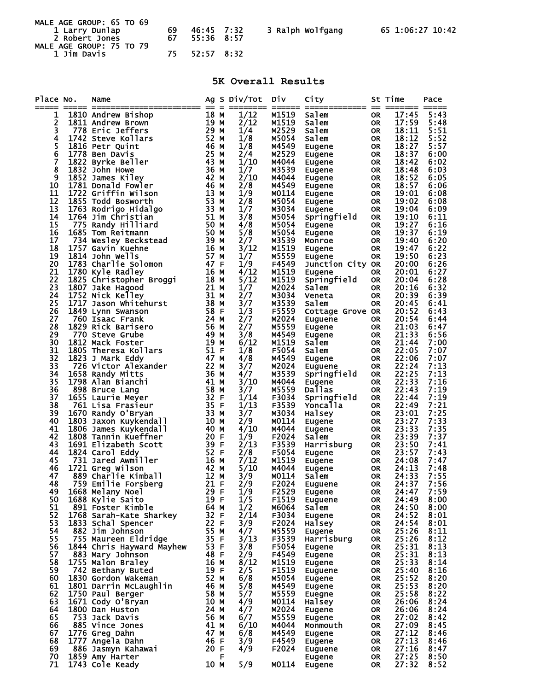| MALE AGE GROUP: 65 TO 69         |          |                          |                  |                  |
|----------------------------------|----------|--------------------------|------------------|------------------|
| 1 Larry Dunlap<br>2 Robert Jones | 69<br>67 | 46:45 7:32<br>55:36 8:57 | 3 Ralph Wolfgang | 65 1:06:27 10:42 |
| MALE AGE GROUP: 75 TO 79         |          |                          |                  |                  |
| 1 Jim Davis                      |          | 75 52:57 8:32            |                  |                  |

## **5K Overall Results**

| Place No.     | Name                                                                                                                                                                                                                                                 |                   |   | Ag S Div/Tot | Div            | City                       |                        | St Time        | Pace         |
|---------------|------------------------------------------------------------------------------------------------------------------------------------------------------------------------------------------------------------------------------------------------------|-------------------|---|--------------|----------------|----------------------------|------------------------|----------------|--------------|
| 1             |                                                                                                                                                                                                                                                      |                   |   | 1/12         | M1519          | Salem                      | 0R                     | 17:45          | 5:43         |
|               |                                                                                                                                                                                                                                                      |                   |   | 2/12         | M1519          | salem                      | <b>OR</b>              | 17:59          | 5:48         |
| $\frac{2}{3}$ |                                                                                                                                                                                                                                                      |                   |   | 1/4          | M2529          | Salem                      | <b>OR</b>              | 18:11          | 5:51         |
| 4             |                                                                                                                                                                                                                                                      |                   |   | 1/8          | M5054          | Salem                      | <b>OR</b>              | 18:12          | 5:52         |
|               | 1816 Petr Quint                                                                                                                                                                                                                                      |                   |   | 1/8          | M4549          | Eugene                     | <b>OR</b>              | 18:27          | 5:57         |
| $\frac{5}{6}$ | $\frac{46}{25}$ M<br>1778 Ben Davis                                                                                                                                                                                                                  |                   |   | 2/4          | M2529          | Eugene                     | <b>OR</b>              | 18:37          | 6:00         |
| Ž             | 1822 Byrke Beller                                                                                                                                                                                                                                    | 43 M              |   | 1/10         | M4044          | Eugene                     | <b>OR</b>              | 18:42          | 6:02         |
| 8             | 1832 John Howe                                                                                                                                                                                                                                       | 36 M              |   | 1/7          | M3539          | Eugene                     | <b>OR</b>              | 18:48          | 6:03         |
| 9             | 1852 James Kiley                                                                                                                                                                                                                                     | 42 M              |   | 2/10         | M4044          | Eugene                     | <b>OR</b>              | 18:52          | 6:05         |
| 10            | 1781 Donald Fowler                                                                                                                                                                                                                                   | 46 м              |   | 2/8          | M4549          | Eugene                     | <b>OR</b>              | 18:57          | 6:06         |
| 11            | 1722 Griffin Wilson                                                                                                                                                                                                                                  | 13 M              |   | 1/9          | M0114          | Eugene                     | <b>OR</b>              | 19:01          | 6:08         |
| 12            | 1855 Todd Bosworth                                                                                                                                                                                                                                   | 53 M              |   | 2/8          | M5054          | Eugene                     | <b>OR</b>              | 19:02          | 6:08         |
| 13            | 1763 Rodrigo Hidalgo                                                                                                                                                                                                                                 | 33 M              |   | 1/7          | M3034          | Eugene                     | <b>OR</b>              | 19:04          | 6:09         |
| 14            | 1764 Jim Christian                                                                                                                                                                                                                                   |                   |   | 3/8          | M5054          | Springfield                | <b>OR</b>              | 19:10          | 6:11         |
| 15            | 51 M<br>50 M<br>50 M<br>775 Randy Hilliard                                                                                                                                                                                                           |                   |   | 4/8          | M5054          |                            | <b>OR</b>              | 19:27          | 6:16         |
| 16            | 1685 Tom Reitmann                                                                                                                                                                                                                                    |                   |   | 5/8          | M5054          | Eugene                     | <b>OR</b>              | 19:37          | 6:19         |
| 17            |                                                                                                                                                                                                                                                      |                   |   | 2/7          | M3539          | Eugene<br>Monroe           | <b>OR</b>              | 19:40          | 6:20         |
| 18            | 1757 Gavin Kuehne                                                                                                                                                                                                                                    |                   |   | 3/12         | M1519          | Eugene                     | <b>OR</b>              | 19:47          | 6:22         |
| 19            | 1814 John Wells                                                                                                                                                                                                                                      |                   |   | 1/7          | M5559          |                            | <b>OR</b>              | 19:50          | 6:23         |
| 20            | 1783 Charlie Solomon                                                                                                                                                                                                                                 |                   |   | 1/9          | F4549          | Eugene                     |                        | 20:00          | 6:26         |
| 21            |                                                                                                                                                                                                                                                      |                   |   | 4/12         | M1519          | Junction City OR<br>Eugene |                        | 20:01          | 6:27         |
| 22            |                                                                                                                                                                                                                                                      |                   |   | 5/12         | M1519          | Springfield                | 0R<br><b>OR</b>        | 20:04          | 6:28         |
| 23            |                                                                                                                                                                                                                                                      |                   |   |              | M2024          |                            |                        |                | 6:32         |
| 24            |                                                                                                                                                                                                                                                      |                   |   | 1/7<br>2/7   | M3034          | Salem                      | 0R                     | 20:16<br>20:39 | 6:39         |
| 25            | 1/80 Kyle Radley<br>1825 Christopher Broggi<br>1807 Jake Hagood<br>1752 Nick Kelley<br>1717 Jason Whitehurst<br>1849 Lynn Swanson<br>1849 Lynn Swanson<br>1869 Lynn Swanson<br>1869 Lynn Swanson<br>1869 Lynn Swanson<br>1869 Lynn Swanson<br>1869 L |                   |   |              | M3539          | Veneta                     | <b>OR</b><br><b>OR</b> |                | 6:41         |
| 26            |                                                                                                                                                                                                                                                      |                   |   | 3/7          |                | Salem                      |                        | 20:45          |              |
|               |                                                                                                                                                                                                                                                      |                   |   | 1/3          | F5559          | Cottage Grove OR           |                        | 20:52          | 6:43         |
| 27<br>28      | 760 Isaac Frank                                                                                                                                                                                                                                      |                   |   | 2/7          | M2024          | Euguene                    | OR.                    | 20:54          | 6:44         |
|               | 58 F<br>58 F<br>24 M<br>56 M<br>1829 Rick Barisero                                                                                                                                                                                                   |                   |   | 2/7          | M5559          | Eugene                     | <b>OR</b>              | 21:03          | 6:47         |
| 29<br>30      | $\frac{49 \text{ M}}{19 \text{ M}}$<br>770 Steve Grube                                                                                                                                                                                               | 19 M              |   | 3/8          | M4549          | Eugene                     | <b>OR</b>              | 21:33          | 6:56         |
|               | 1812 Mack Foster                                                                                                                                                                                                                                     |                   |   | 6/12         | M1519          | Salem                      | <b>OR</b>              | 21:44          | 7:00         |
| 31<br>32      | $51 \overline{F}$<br>1805 Theresa Kollars                                                                                                                                                                                                            |                   |   | 1/8          | F5054          | Salem                      | <b>OR</b>              | 22:05          | 7:07         |
| 33            | 1823 J Mark Eddy                                                                                                                                                                                                                                     | 47 M              |   | 4/8          | M4549          | Eugene                     | <b>OR</b>              | 22:06          | 7:07         |
| 34            | 726 Victor Alexander                                                                                                                                                                                                                                 |                   |   | 3/7          | M2024<br>M3539 | Euguene                    | <b>OR</b>              | 22:24<br>22:25 | 7:13<br>7:13 |
| 35            | 1658 Randy Mitts<br>1798 Alan Bianchi                                                                                                                                                                                                                |                   |   | 4/7          | M4044          | Springfield                | <b>OR</b>              | 22:33          | 7:16         |
| 36            |                                                                                                                                                                                                                                                      |                   |   | 3/10<br>3/7  | M5559          | Eugene<br>Dallas           | 0R<br><b>OR</b>        | 22:43          | 7:19         |
| 37            | 898 Bruce Lang                                                                                                                                                                                                                                       |                   |   |              |                |                            |                        | 22:44          | 7:19         |
| 38            | 1655 Laurie Meyer                                                                                                                                                                                                                                    |                   |   | 1/14         | F3034<br>F3539 | Springfield                | 0R                     | 22:49          | 7:21         |
| 39            | 761 Lisa Frasieur                                                                                                                                                                                                                                    | $\frac{33}{10}$ M |   | 1/13         | M3034          | Yoncalla<br>Halsey         | <b>OR</b>              | 23:01          | 7:25         |
| 40            | 1670 Randy O'Bryan                                                                                                                                                                                                                                   | 10 M              |   | 3/7<br>2/9   | M0114          |                            | <b>OR</b><br><b>OR</b> | 23:27          | 7:33         |
| 41            | 1803 Jaxon Kuykendall<br>1806 James Kuykendall                                                                                                                                                                                                       | 40 M              |   | 4/10         | M4044          | Eugene                     | <b>OR</b>              | 23:33          | 7:35         |
| 42            | 1808 Tannin Kueffner                                                                                                                                                                                                                                 | 20 F              |   | 1/9          | F2024          | Eugene<br>Salem            | <b>OR</b>              | 23:39          | 7:37         |
| 43            | 1691 Elizabeth Scott                                                                                                                                                                                                                                 | 39 F              |   | 2/13         | F3539          | Harrisburg                 | <b>OR</b>              | 23:50          | 7:41         |
| 44            | 1824 Carol Eddy                                                                                                                                                                                                                                      | 52 F              |   | 2/8          | F5054          |                            | <b>OR</b>              | 23:57          | 7:43         |
| 45            | 731 Jared Awmiller                                                                                                                                                                                                                                   |                   |   | 7/12         | M1519          | Eugene                     | <b>OR</b>              | 24:08          | 7:47         |
| 46            | 16 M<br>42 M<br>12<br>1721 Greg Wilson                                                                                                                                                                                                               |                   |   | 5/10         | M4044          | Eugene<br>Eugene<br>Tom    | <b>OR</b>              | 24:13          | 7:48         |
| 47            | 889 Charlie Kimball                                                                                                                                                                                                                                  |                   |   | 3/9          | M0114          |                            | <b>OR</b>              | 24:33          | 7:55         |
| 48            | 759 Emilie Forsberg<br>21 F                                                                                                                                                                                                                          |                   |   | 2/9          | F2024          |                            | OR                     | 24:37          | 7:56         |
| 49            | 1668 Melany Noel                                                                                                                                                                                                                                     | 29 F              |   | 1/9          | F2529          | <b>Euguene</b><br>Eugene   | <b>OR</b>              | 24:47          | 7:59         |
| 50            | 1688 Kylie Saito                                                                                                                                                                                                                                     | 19 F              |   | 1/5          | F1519          | <b>Euguene</b>             | 0R                     | 24:49          | 8:00         |
| 51            | 891 Foster Kimble                                                                                                                                                                                                                                    | 64 M              |   | 1/2          | M6064          | Salem                      | 0R                     | 24:50          | 8:00         |
| 52            | 1768 Sarah-Kate Sharkey                                                                                                                                                                                                                              | 32 F              |   | 2/14         | F3034          | Eugene                     | 0R                     | 24:52          | 8:01         |
| 53            | 1833 Schal Spencer                                                                                                                                                                                                                                   | 22 F              |   | 3/9          | F2024          | Halsey                     | 0R                     | 24:54          | 8:01         |
| 54            | 882 Jim Johnson                                                                                                                                                                                                                                      | 55 M              |   | 4/7          | M5559          | Eugene                     | 0R                     | 25:26          | 8:11         |
| 55            | 755 Maureen Eldridge                                                                                                                                                                                                                                 | 35 F              |   | 3/13         | F3539          | Harrisburg                 | 0R                     | 25:26          | 8:12         |
| 56            | 1844 Chris Hayward Mayhew                                                                                                                                                                                                                            | 53 F              |   | 3/8          | F5054          | Eugene                     | 0R                     | 25:31          | 8:13         |
| 57            | 883 Mary Johnson                                                                                                                                                                                                                                     | 48 F              |   | 2/9          | F4549          | Eugene                     | 0R                     | 25:31          | 8:13         |
| 58            | 1755 Malon Braley                                                                                                                                                                                                                                    | 16 M              |   | 8/12         | M1519          | Eugene                     | 0R                     | 25:33          | 8:14         |
| 59            | 742 Bethany Buted                                                                                                                                                                                                                                    | 19 F              |   | 2/5          | F1519          | Euguene                    | 0R                     | 25:40          | 8:16         |
| 60            | 1830 Gordon Wakeman                                                                                                                                                                                                                                  | 52 M              |   | 6/8          | M5054          | Eugene                     | 0R                     | 25:52          | 8:20         |
| 61            | 1801 Darrin McLaughlin                                                                                                                                                                                                                               | 46 M              |   | 5/8          | M4549          | Eugene                     | 0R                     | 25:53          | 8:20         |
| 62            | 1750 Paul Berger                                                                                                                                                                                                                                     | 58 M              |   | 5/7          | M5559          | Euegne                     | 0R                     | 25:58          | 8:22         |
| 63            | 1671 Cody O'Bryan                                                                                                                                                                                                                                    | 10 M              |   | 4/9          | M0114          | Halsey                     | 0R                     | 26:06          | 8:24         |
| 64            | 1800 Dan Huston                                                                                                                                                                                                                                      | 24 M              |   | 4/7          | M2024          | Eugene                     | 0R                     | 26:06          | 8:24         |
| 65            | 753 Jack Davis                                                                                                                                                                                                                                       | 56 M              |   | 6/7          | M5559          | Eugene                     | 0R                     | 27:02          | 8:42         |
| 66            | 885 Vince Jones                                                                                                                                                                                                                                      | 41 M              |   | 6/10         | M4044          | Monmouth                   | 0R                     | 27:09          | 8:45         |
| 67            | 1776 Greg Dahn                                                                                                                                                                                                                                       | 47 M              |   | 6/8          | M4549          | Eugene                     | 0R                     | 27:12          | 8:46         |
| 68            | 1777 Angela Dahn                                                                                                                                                                                                                                     | 46 F              |   | 3/9          | F4549          | Eugene                     | <b>OR</b>              | 27:13          | 8:46         |
| 69            | 886 Jasmyn Kahawai                                                                                                                                                                                                                                   | 20 F              |   | 4/9          | F2024          | Euguene                    | <b>OR</b>              | 27:16          | 8:47         |
| 70            | 1859 Amy Harter                                                                                                                                                                                                                                      |                   | F |              |                | Eugene                     | 0R                     | 27:25          | 8:50         |
| 71            | 1743 Cole Keady                                                                                                                                                                                                                                      | 10 M              |   | 5/9          | M0114          | Eugene                     | <b>OR</b>              | 27:32          | 8:52         |
|               |                                                                                                                                                                                                                                                      |                   |   |              |                |                            |                        |                |              |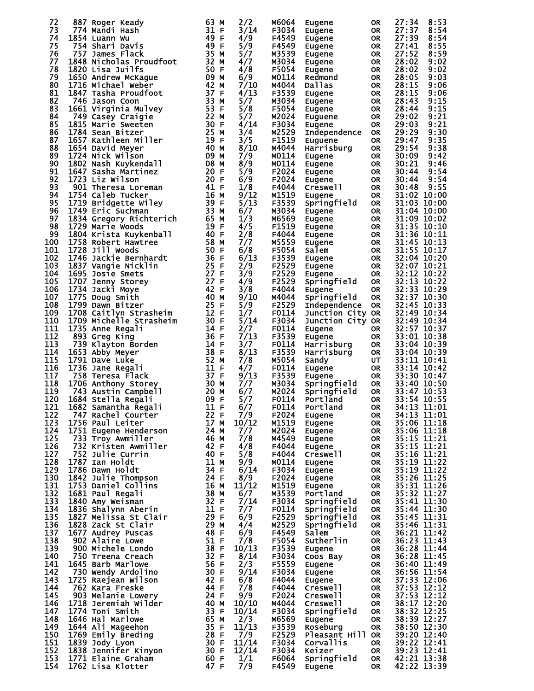| 72  | 887 Roger Keady                                                                                                                                                                                                                                      | 63<br>м                              | 2/2                | M6064        | Eugene              | 0R        | 27:34                      | 8:53  |
|-----|------------------------------------------------------------------------------------------------------------------------------------------------------------------------------------------------------------------------------------------------------|--------------------------------------|--------------------|--------------|---------------------|-----------|----------------------------|-------|
| 73  | 774 Mandi Hash                                                                                                                                                                                                                                       | 31 F                                 | 3/14               | F3034        |                     |           | 27:37                      | 8:54  |
| 74  |                                                                                                                                                                                                                                                      | 49 F                                 |                    | F4549        | Eugene              | OR        | 27:39                      | 8:54  |
| 75  | 1854 Luann Wu                                                                                                                                                                                                                                        | 49 F                                 | 4/9                |              | Eugene              | <b>OR</b> |                            |       |
|     | 754 Shari Davis                                                                                                                                                                                                                                      |                                      | 5/9                | F4549        | Eugene              | OR        | 27:41                      | 8:55  |
| 76  | 757 James Flack                                                                                                                                                                                                                                      | 35 M<br>32 M                         | 5/7                | M3539        | Eugene              | <b>OR</b> | 27:52                      | 8:59  |
| 77  | 1848 Nicholas Proudfoot<br><b>1650</b> Andrew McKague 50<br>1716 Michael Weber 509 M<br>1847 Tasha Proudfoot 37 F<br>746 Jason Coon 52<br>1661 Virginia 1112                                                                                         |                                      | 4/7                | M3034        | Eugene              | <b>OR</b> | 28:02                      | 9:02  |
| 78  |                                                                                                                                                                                                                                                      |                                      | 4/8                | F5054        | Eugene              | <b>OR</b> | 28:02                      | 9:02  |
| 79  |                                                                                                                                                                                                                                                      |                                      | 6/9                | M0114        | Redmond             | <b>OR</b> | 28:05                      | 9:03  |
| 80  |                                                                                                                                                                                                                                                      |                                      | 7/10               | M4044        | Dallas              | <b>OR</b> | 28:15                      | 9:06  |
| 81  |                                                                                                                                                                                                                                                      |                                      | 4/13               | F3539        | Eugene              | 0R        | 28:15                      | 9:06  |
| 82  |                                                                                                                                                                                                                                                      |                                      | 5/7                | M3034        | Eugene              | <b>OR</b> | 28:43                      | 9:15  |
| 83  |                                                                                                                                                                                                                                                      |                                      | 5/8                | F5054        | Eugene              | 0R        | 28:44                      | 9:15  |
| 84  |                                                                                                                                                                                                                                                      |                                      | 5/7                | M2024        | Euguene             | <b>OR</b> | 29:02                      | 9:21  |
| 85  |                                                                                                                                                                                                                                                      |                                      | 4/14               | F3034        | Eugene              | <b>OR</b> | 29:03                      | 9:21  |
| 86  |                                                                                                                                                                                                                                                      |                                      | 3/4                | M2529        | Independence        | <b>OR</b> | 29:29                      | 9:30  |
| 87  |                                                                                                                                                                                                                                                      |                                      | 3/5                | F1519        | Euguene             | <b>OR</b> | 29:47                      | 9:35  |
| 88  |                                                                                                                                                                                                                                                      |                                      | 8/10               | M4044        | Harrisburg          | <b>OR</b> | 29:54                      | 9:38  |
| 89  | 1647 Tasha Proudroot<br>1661 Jason Coon<br>1661 Virginia Mulvey<br>1661 Virginia Mulvey<br>1749 Casey Craigie<br>1815 Marie Sweeten<br>1784 Sean Bitzer<br>1657 Kathleen Miller<br>1654 David Meyer<br>1724 Nick Wilson<br>1724 Nick Wilson          |                                      | 7/9                | M0114        | Eugene              | <b>OR</b> | 30:09                      | 9:42  |
| 90  | 1802 Nash Kuykendall                                                                                                                                                                                                                                 | 08 M                                 | 8/9                | M0114        | Eugene              | <b>OR</b> | 30:21                      | 9:46  |
| 91  | 1647 Sasha Martinez                                                                                                                                                                                                                                  | 20 F                                 | 5/9                | F2024        | Eugene              | <b>OR</b> | 30:44                      | 9:54  |
| 92  |                                                                                                                                                                                                                                                      |                                      | 6/9                | F2024        | Eugene              | <b>OR</b> | 30:44                      | 9:54  |
| 93  |                                                                                                                                                                                                                                                      |                                      | 1/8                | F4044        | Creswell            | <b>OR</b> | 30:48                      | 9:55  |
| 94  |                                                                                                                                                                                                                                                      |                                      | 9/12               | M1519        | Eugene              | <b>OR</b> | 31:02 10:00                |       |
| 95  |                                                                                                                                                                                                                                                      |                                      | 5/13               | F3539        | Springfield         | <b>OR</b> | 31:03 10:00                |       |
| 96  |                                                                                                                                                                                                                                                      |                                      | 6/7                | M3034        | Eugene              | <b>OR</b> | 31:04 10:00                |       |
| 97  |                                                                                                                                                                                                                                                      |                                      | 1/3                | M6569        |                     | <b>OR</b> | 31:09 10:02                |       |
| 98  |                                                                                                                                                                                                                                                      |                                      |                    |              | Eugene              |           |                            |       |
|     |                                                                                                                                                                                                                                                      |                                      | 4/5                | F1519        | Eugene              | <b>OR</b> | 31:35 10:10                |       |
| 99  | 1723 Liz Wilson<br>1723 Liz Wilson<br>1754 Caleb Tucker<br>1754 Caleb Tucker<br>1754 Caleb Tucker<br>1719 Bridgette Wiley<br>1749 Eric Suchman<br>1834 Gregory Richterich<br>1729 Marie Woods<br>1804 Krista Kuykenball<br>1758 Robert Hawtree<br>17 |                                      | 2/8                | F4044        | Eugene              | <b>OR</b> | 31:36 10:11                |       |
| 100 |                                                                                                                                                                                                                                                      |                                      | 7/7                | M5559        | Eugene              | <b>OR</b> | 31:45 10:13                |       |
| 101 |                                                                                                                                                                                                                                                      |                                      | 6/8                | F5054        | Salem               | <b>OR</b> | 31:55 10:17                |       |
| 102 |                                                                                                                                                                                                                                                      |                                      | 6/13               | F3539        | Eugene              | <b>OR</b> | 32:04 10:20                |       |
| 103 |                                                                                                                                                                                                                                                      |                                      | 2/9                | F2529        | Eugene              | <b>OR</b> | 32:07 10:21                |       |
| 104 |                                                                                                                                                                                                                                                      |                                      | 3/9                | F2529        | Eugene              | <b>OR</b> | 32:12 10:22                |       |
| 105 |                                                                                                                                                                                                                                                      |                                      | 4/9                | F2529        | Springfield         | <b>OR</b> | 32:13                      | 10:22 |
| 106 |                                                                                                                                                                                                                                                      |                                      | 3/8                | F4044        | Eugene              | <b>OR</b> | 32:33 10:29                |       |
| 107 |                                                                                                                                                                                                                                                      |                                      | 9/10               | M4044        | Springfield         | <b>OR</b> | 32:37 10:30                |       |
| 108 |                                                                                                                                                                                                                                                      |                                      | 5/9                | F2529        | <b>Independence</b> | <b>OR</b> | 32:45 10:33                |       |
| 109 |                                                                                                                                                                                                                                                      |                                      | 1/7                | F0114        | Junction City OR    |           | 32:49 10:34                |       |
| 110 |                                                                                                                                                                                                                                                      |                                      | 5/14               | F3034        | Junction City OR    |           | 32:49 10:34                |       |
| 111 |                                                                                                                                                                                                                                                      |                                      | 2/7                | F0114        | Eugene              | OR        | 32:57 10:37                |       |
| 112 |                                                                                                                                                                                                                                                      |                                      | 7/13               | F3539        | Eugene              | OR        | 33:01 10:38                |       |
| 113 |                                                                                                                                                                                                                                                      |                                      | 3/7                | F0114        | Harrisburg          | <b>OR</b> | 33:04 10:39                |       |
| 114 |                                                                                                                                                                                                                                                      |                                      | 8/13               | F3539        | Harrisburg          | OR        | 33:04 10:39                |       |
| 115 |                                                                                                                                                                                                                                                      |                                      | 7/8                | M5054        | Sandy               | UT        | 33:11 10:41                |       |
| 116 |                                                                                                                                                                                                                                                      |                                      | 4/7                | F0114        | Eugene              | <b>OR</b> | 33:14 10:42                |       |
| 117 | 1728 Jill Woods<br>1746 Jackie Bernhardt<br>1837 Vangie Nicklin<br>1695 Josie Smets<br>1707 Jenny Storey<br>1773 Dacki Moye<br>1775 Doug Smith<br>1799 Dawn Bitzer<br>1708 Caitlyn Strasheim<br>1709 Michelle Strasheim<br>1709 Michelle Strasheim   |                                      | 9/13               | F3539        | Eugene              | <b>OR</b> | 33:30 10:47                |       |
| 118 | 1706 Anthony Storey                                                                                                                                                                                                                                  | 30 M<br>20 M<br>20 M<br>09 F         | 7/7                | M3034        | Springfield         | OR        | 33:40 10:50                |       |
| 119 | 743 Austin Campbell                                                                                                                                                                                                                                  |                                      | 6/7                | M2024        | Springfield         | <b>OR</b> | 33:47 10:53                |       |
| 120 | 1684 Stella Regali                                                                                                                                                                                                                                   |                                      | 5/7                | F0114        | <b>Portland</b>     | <b>OR</b> | 33:54 10:55                |       |
| 121 | 1682 Samantha Regali                                                                                                                                                                                                                                 | 11 F                                 | 6/7                | F0114        | Portland            | <b>OR</b> | 34:13 11:01                |       |
| 122 | 747 Rachel Courter                                                                                                                                                                                                                                   | 22 F                                 | 7/9                | F2024        | Eugene              | OR        | 34:13 11:01                |       |
| 123 | 1756 Paul Leiter                                                                                                                                                                                                                                     | 17 M                                 | 10/12              | M1519        | Eugene              | <b>OR</b> | 35:06 11:18                |       |
| 124 | 1751 Eugene Henderson                                                                                                                                                                                                                                | 24 M                                 | 7/7                | M2024        | Eugene              | <b>OR</b> | 35:06 11:18                |       |
| 125 | 733 Troy Awmiller                                                                                                                                                                                                                                    | 46 M                                 | 7/8                | M4549        | Eugene              | <b>OR</b> | 35:15 11:21                |       |
| 126 | 732 Kristen Awmiller                                                                                                                                                                                                                                 |                                      | 4/8                | F4044        | Eugene              | OR        | 35:15 11:21                |       |
| 127 | 752 Julie Currin                                                                                                                                                                                                                                     | 42 F<br>40 F                         | 5/8                | F4044        | Creswell            | <b>OR</b> | 35:16 11:21                |       |
| 128 | 1787 Ian Holdt                                                                                                                                                                                                                                       |                                      | 9/9                | M0114        | Eugene              | <b>OR</b> | 35:19 11:22                |       |
| 129 | 1786 Dawn Holdt                                                                                                                                                                                                                                      | 11 M<br>34 F                         | 6/14               | F3034        | Eugene              | <b>OR</b> | 35:19 11:22                |       |
| 130 | 1842 Julie Thompson                                                                                                                                                                                                                                  |                                      | 8/9                | F2024        | Eugene              | <b>OR</b> | 35:26 11:25                |       |
| 131 | 1753 Daniel Collins                                                                                                                                                                                                                                  |                                      | 11/12              | M1519        | Eugene              | <b>OR</b> | 35:31 11:26                |       |
| 132 |                                                                                                                                                                                                                                                      |                                      |                    |              |                     |           | 35:32 11:27                |       |
| 133 | 1681 Paul Regali                                                                                                                                                                                                                                     |                                      | 6/7                | M3539        | Portland            | <b>OR</b> | 35:41 11:30                |       |
|     | 1840 Amy Weisman                                                                                                                                                                                                                                     |                                      | 7/14               | F3034        | Springfield         | <b>OR</b> |                            |       |
| 134 | 1836 Shalynn Aberin                                                                                                                                                                                                                                  |                                      | 7/7                | F0114        | Springfield         | <b>OR</b> | 35:44 11:30                |       |
| 135 | 1827 Melissa St Clair                                                                                                                                                                                                                                |                                      | 6/9                | F2529        | Springfield         | <b>OR</b> | 35:45 11:31                |       |
| 136 | 1828 Zack St Clair                                                                                                                                                                                                                                   |                                      | 4/4                | M2529        | Springfield         | OR        | 35:46 11:31                |       |
| 137 | 1677 Audrey Puscas                                                                                                                                                                                                                                   |                                      | 6/9                | F4549        | Salem               | <b>OR</b> | 36:21 11:42                |       |
| 138 | 902 Alaire Lowe                                                                                                                                                                                                                                      |                                      | 7/8                | F5054        | Sutherlin           | OR        | 36:23 11:43                |       |
| 139 | 900 Michele Londo                                                                                                                                                                                                                                    |                                      | 10/13              | F3539        | Eugene              | <b>OR</b> | 36:28 11:44                |       |
| 140 | 750 Treena Creach                                                                                                                                                                                                                                    | 32 F                                 | 8/14               | F3034        | Coos Bay            | <b>OR</b> | 36:28 11:45                |       |
| 141 | 1645 Barb Marlowe                                                                                                                                                                                                                                    | 56 F                                 | 2/3                | F5559        | Eugene              | <b>OR</b> | 36:40 11:49                |       |
| 142 | 730 Wendy Ardolino                                                                                                                                                                                                                                   | 30 F<br>30 F<br>42 F<br>44 F<br>24 F | 9/14               | F3034        | Eugene              | <b>OR</b> | 36:56 11:54                |       |
| 143 | 1725 Raejean Wilson                                                                                                                                                                                                                                  |                                      | 6/8                | F4044        | Eugene              | <b>OR</b> | 37:33 12:06                |       |
| 144 | 762 Kara Freske                                                                                                                                                                                                                                      |                                      | 7/8                | F4044        | Creswell            | <b>OR</b> | 37:53 12:12                |       |
| 145 | 903 Melanie Lowery                                                                                                                                                                                                                                   |                                      | 9/9                | F2024        | Creswell            | <b>OR</b> | 37:53 12:12                |       |
| 146 | 1718 Jeremiah Wilder                                                                                                                                                                                                                                 | $\frac{40}{33}$ M                    | 10/10              | M4044        | <b>Creswell</b>     | <b>OR</b> | 38:17 12:20<br>38:32 12:25 |       |
| 147 | 1774 Toni Smith                                                                                                                                                                                                                                      | 33 F                                 | 10/14              | F3034        | Springfield         | <b>OR</b> |                            |       |
| 148 | 1646 Hal Marlowe                                                                                                                                                                                                                                     |                                      | 2/3                | M6569        | Eugene              | OR        | 38:39 12:27                |       |
| 149 |                                                                                                                                                                                                                                                      | $65$ M<br>$35$ F                     | 11/13              | F3539        | Roseburg            | <b>OR</b> | 38:50 12:30                |       |
| 150 |                                                                                                                                                                                                                                                      |                                      | 7/9                | F2529        | Pleasant Hill OR    |           | 39:20 12:40                |       |
| 151 | 1644 Ali Mageenon<br>1769 Emily Breding 28 F<br>1998 Tack Lyon 30 F                                                                                                                                                                                  |                                      | 11/14              | F3034        | Corvallis           | <b>OR</b> | 39:22 12:41                |       |
| 152 |                                                                                                                                                                                                                                                      |                                      | $\overline{12}/14$ | F3034        | Keizer              | <b>OR</b> | 39:23 12:41                |       |
| 153 |                                                                                                                                                                                                                                                      |                                      | 1/1                | <b>F6064</b> | Springfield         | OR.       | 42:21 13:38                |       |
| 154 | 1762 Lisa Klotter                                                                                                                                                                                                                                    |                                      | 7/9                | F4549        | Eugene              | 0R.       | 42:22 13:39                |       |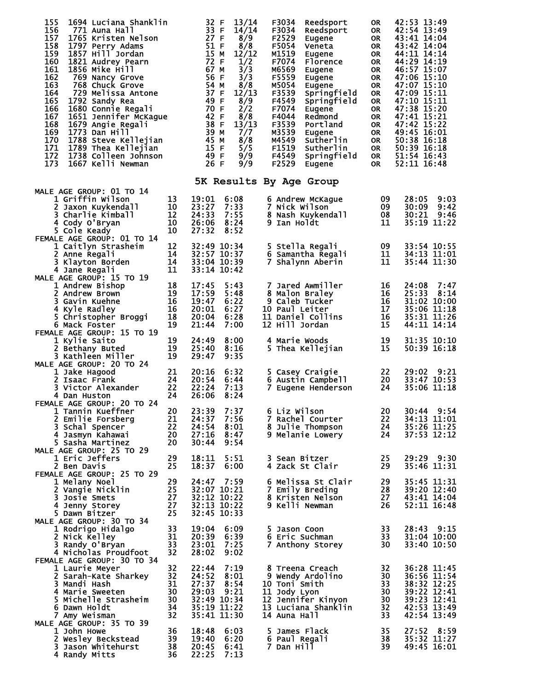| 155<br>1694 Luciana Shanklin<br>156<br>771 Auna Hall<br>157<br>1765 Kristen Nelson<br>158<br>1797 Perry Adams<br>159<br>1857 Hill Jordan<br>160<br>1821 Audrey Pearn<br>161<br>1856 Mike Hill<br>162<br>769 Nancy Grove<br>163<br>768 Chuck Grove<br>164<br>729 Melissa Antone<br>165<br>1792 Sandy Rea<br>166<br>1680 Connie Regali<br>167<br>1651 Jennifer McKague<br>168<br>1679 Angie Regali<br>169<br>1773 Dan Hill<br>170<br>1788 Steve Kellejian<br>171<br>1789 Thea Kellejian<br>172<br>1738 Colleen Johnson<br>173<br>1667 Kelli Newman |                                        | 32 F<br>33 F<br>27 F<br>51 F<br>15 M<br>72 F<br>67 M<br>56 F<br>54 M<br>37 F<br>49 F<br>70 F<br>42 F<br>38 F<br>39 M<br>45 M<br>15 F<br>49 F<br>26 F | 13/14<br>14/14<br>8/9<br>8/8<br>12/12<br>1/2<br>3/3<br>3/3<br>8/8<br>12/13<br>8/9<br>2/2<br>8/8<br>13/13<br>7/7<br>8/8<br>5/5<br>9/9<br>9/9 | F3034<br>Reedsport<br>F3034<br>Reedsport<br>F2529<br>Eugene<br>F5054<br>Veneta<br>M1519<br>Eugene<br>F7074<br>Florence<br>M6569<br>Eugene<br>F5559<br>Eugene<br>M5054<br>Eugene<br>F3539<br>Springfield<br>F4549<br>Springfield<br>F7074<br>Eugene<br>F4044<br>Redmond<br>F3539<br>Portland<br>M3539<br>Eugene<br>M4549<br>Sutherlin<br>F1519<br>Sutherlin<br>F4549<br>Springfield<br>F2529<br>Eugene | <b>OR</b><br><b>OR</b><br><b>OR</b><br><b>OR</b><br><b>OR</b><br><b>OR</b><br><b>OR</b><br>0R<br><b>OR</b><br><b>OR</b><br><b>OR</b><br>0R<br><b>OR</b><br>OR<br><b>OR</b><br><b>OR</b><br><b>OR</b><br><b>OR</b><br><b>OR</b> | 42:53 13:49<br>42:54 13:49<br>43:41 14:04<br>43:42 14:04<br>44:11 14:14<br>44:29 14:19<br>46:57 15:07<br>47:06 15:10<br>47:07 15:10<br>47:09 15:11<br>47:10 15:11<br>47:38 15:20<br>47:41 15:21<br>47:42 15:22<br>49:45 16:01<br>50:38 16:18<br>50:39 16:18<br>51:54 16:43<br>52:11 16:48 |
|--------------------------------------------------------------------------------------------------------------------------------------------------------------------------------------------------------------------------------------------------------------------------------------------------------------------------------------------------------------------------------------------------------------------------------------------------------------------------------------------------------------------------------------------------|----------------------------------------|------------------------------------------------------------------------------------------------------------------------------------------------------|---------------------------------------------------------------------------------------------------------------------------------------------|-------------------------------------------------------------------------------------------------------------------------------------------------------------------------------------------------------------------------------------------------------------------------------------------------------------------------------------------------------------------------------------------------------|--------------------------------------------------------------------------------------------------------------------------------------------------------------------------------------------------------------------------------|-------------------------------------------------------------------------------------------------------------------------------------------------------------------------------------------------------------------------------------------------------------------------------------------|
|                                                                                                                                                                                                                                                                                                                                                                                                                                                                                                                                                  |                                        |                                                                                                                                                      |                                                                                                                                             | 5K Results By Age Group                                                                                                                                                                                                                                                                                                                                                                               |                                                                                                                                                                                                                                |                                                                                                                                                                                                                                                                                           |
| MALE AGE GROUP: 01 TO 14<br>1 Griffin Wilson<br>2 Jaxon Kuykendall<br>3 Charlie Kimball<br>4 Cody O'Bryan<br>5 Cole Keady                                                                                                                                                                                                                                                                                                                                                                                                                        | 13<br>10<br>12<br>10<br>10             | 19:01<br>23:27<br>24:33<br>26:06<br>27:32                                                                                                            | 6:08<br>7:33<br>7:55<br>8:24<br>8:52                                                                                                        | 6 Andrew McKaque<br>7 Nick Wilson<br>8 Nash Kuykendall<br>9 Ian Holdt                                                                                                                                                                                                                                                                                                                                 | 09<br>09<br>08<br>11                                                                                                                                                                                                           | 28:05<br>9:03<br>30:09<br>9:42<br>9:46<br>30:21<br>35:19 11:22                                                                                                                                                                                                                            |
| FEMALE AGE GROUP: 01 TO 14<br>1 Caitlyn Strasheim<br>2 Anne Regali<br>3 Klayton Borden<br>4 Jane Regali<br>MALE AGE GROUP: 15 TO 19                                                                                                                                                                                                                                                                                                                                                                                                              | 12<br>14<br>14<br>11                   | 33:04 10:39<br>33:14 10:42                                                                                                                           | 32:49 10:34<br>32:57 10:37                                                                                                                  | 5 Stella Regali<br>6 Samantha Regali<br>7 Shalynn Aberin                                                                                                                                                                                                                                                                                                                                              | 09<br>11<br>11                                                                                                                                                                                                                 | 33:54 10:55<br>34:13 11:01<br>35:44 11:30                                                                                                                                                                                                                                                 |
| 1 Andrew Bishop<br>2 Andrew Brown<br>3 Gavin Kuehne<br>4 Kyle Radley<br>5 Christopher Broggi<br>6 Mack Foster                                                                                                                                                                                                                                                                                                                                                                                                                                    | 18<br>19<br>16<br>16<br>18<br>19       | 17:45<br>17:59<br>19:47<br>20:01<br>20:04<br>21:44                                                                                                   | 5:43<br>5:48<br>6:22<br>6:27<br>6:28<br>7:00                                                                                                | 7 Jared Awmiller<br>8 Malon Braley<br>9 Caleb Tucker<br>10 Paul Leiter<br>11 Daniel Collins<br>12 Hill Jordan                                                                                                                                                                                                                                                                                         | 16<br>16<br>16<br>17<br>16<br>15                                                                                                                                                                                               | 24:08<br>7:47<br>25:33<br>8:14<br>31:02 10:00<br>35:06 11:18<br>35:31 11:26<br>44:11 14:14                                                                                                                                                                                                |
| FEMALE AGE GROUP: 15 TO 19<br>1 Kylie Saito<br>2 Bethany Buted<br>3 Kathleen Miller<br>MALE AGE GROUP: 20 TO 24                                                                                                                                                                                                                                                                                                                                                                                                                                  | 19<br>19<br>19                         | 24:49<br>25:40<br>29:47                                                                                                                              | 8:00<br>8:16<br>9:35                                                                                                                        | 4 Marie Woods<br>5 Thea Kellejian                                                                                                                                                                                                                                                                                                                                                                     | 19<br>15                                                                                                                                                                                                                       | 31:35 10:10<br>50:39 16:18                                                                                                                                                                                                                                                                |
| 1 Jake Hagood<br>2 Isaac Frank<br>3 Victor Alexander<br>4 Dan Huston<br>FEMALE AGE GROUP: 20 TO 24                                                                                                                                                                                                                                                                                                                                                                                                                                               | 21<br>24<br>22<br>24                   | 20:16<br>20:54<br>22:24<br>26:06                                                                                                                     | 6:32<br>6:44<br>7:13<br>8:24                                                                                                                | 5 Casey Craigie<br>6 Austin Campbell<br>7 Eugene Henderson                                                                                                                                                                                                                                                                                                                                            | 22<br>20<br>24                                                                                                                                                                                                                 | 9:21<br>29:02<br>33:47 10:53<br>35:06 11:18                                                                                                                                                                                                                                               |
| 1 Tannin Kueffner<br>2 Emilie Forsberg<br>3 Schal Spencer<br>4 Jasmyn Kahawai<br>5 Sasha Martinez                                                                                                                                                                                                                                                                                                                                                                                                                                                | 20<br>21<br>22<br>20<br>20             | 24:37<br>24:54<br>27:16<br>30:44                                                                                                                     | 23:39 7:37<br>7:56<br>8:01<br>8:47<br>9:54                                                                                                  | 6 Liz Wilson<br>7 Rachel Courter<br>8 Julie Thompson<br>9 Melanie Lowery                                                                                                                                                                                                                                                                                                                              | 20<br>22<br>24<br>24                                                                                                                                                                                                           | 30:44 9:54<br>34:13 11:01<br>35:26 11:25<br>37:53 12:12                                                                                                                                                                                                                                   |
| MALE AGE GROUP: 25 TO 29<br>1 Eric Jeffers<br>2 Ben Davis<br>FEMALE AGE GROUP: 25 TO 29                                                                                                                                                                                                                                                                                                                                                                                                                                                          | 29<br>25                               | 18:11<br>18:37                                                                                                                                       | 5:51<br>6:00                                                                                                                                | 3 Sean Bitzer<br>4 Zack St Clair                                                                                                                                                                                                                                                                                                                                                                      | 25<br>29                                                                                                                                                                                                                       | 29:29 9:30<br>35:46 11:31                                                                                                                                                                                                                                                                 |
| 1 Melany Noel<br>2 Vangie Nicklin<br>3 Josie Smets<br>4 Jenny Storey<br>5 Dawn Bitzer                                                                                                                                                                                                                                                                                                                                                                                                                                                            | 29<br>25<br>27<br>27<br>25             | 24:47<br>32:12 10:22<br>32:13 10:22<br>32:45 10:33                                                                                                   | 7:59<br>32:07 10:21                                                                                                                         | 6 Melissa St Clair<br>7 Emily Breding<br>8 Kristen Nelson<br>9 Kelli Newman                                                                                                                                                                                                                                                                                                                           | 29<br>28<br>27<br>26                                                                                                                                                                                                           | 35:45 11:31<br>39:20 12:40<br>43:41 14:04<br>52:11 16:48                                                                                                                                                                                                                                  |
| MALE AGE GROUP: 30 TO 34<br>1 Rodrigo Hidalgo<br>2 Nick Kelley<br>3 Randy O'Bryan<br>4 Nicholas Proudfoot<br>FEMALE AGE GROUP: 30 TO 34                                                                                                                                                                                                                                                                                                                                                                                                          | 33<br>31<br>33<br>32                   | 19:04<br>20:39<br>23:01<br>28:02                                                                                                                     | 6:09<br>6:39<br>7:25<br>9:02                                                                                                                | 5 Jason Coon<br>6 Eric Suchman<br>7 Anthony Storey                                                                                                                                                                                                                                                                                                                                                    | 33<br>33<br>30                                                                                                                                                                                                                 | $28:43$ $9:15$<br>31:04 10:00<br>33:40 10:50                                                                                                                                                                                                                                              |
| 1 Laurie Meyer<br>2 Sarah-Kate Sharkey<br>3 Mandi Hash<br>4 Marie Sweeten<br>5 Michelle Strasheim<br>6 Dawn Holdt<br>7 Amy Weisman                                                                                                                                                                                                                                                                                                                                                                                                               | 32<br>32<br>31<br>30<br>30<br>34<br>32 | 22:44<br>24:52<br>27:37<br>29:03<br>35:19 11:22<br>35:41 11:30                                                                                       | 7:19<br>8:01<br>8:54<br>9:21<br>32:49 10:34                                                                                                 | 8 Treena Creach<br>9 Wendy Ardolino<br>10 Toni Smith<br>11 Jody Lyon<br>12 Jennifer Kinyon<br>13 Luciana Shanklin<br>14 Auna Hall                                                                                                                                                                                                                                                                     | 32<br>30<br>33<br>30<br>30<br>32<br>33                                                                                                                                                                                         | 36:28 11:45<br>36:56 11:54<br>38:32 12:25<br>39:22 12:41<br>39:23 12:41<br>42:53 13:49<br>42:54 13:49                                                                                                                                                                                     |
| MALE AGE GROUP: 35 TO 39<br>1 John Howe<br>2 Wesley Beckstead<br>3 Jason Whitehurst<br>4 Randy Mitts                                                                                                                                                                                                                                                                                                                                                                                                                                             | 36<br>39<br>38<br>36                   | 18:48<br>19:40<br>20:45<br>22:25                                                                                                                     | 6:03<br>6:20<br>6:41<br>7:13                                                                                                                | 5 James Flack<br>6 Paul Regali<br>7 Dan Hill                                                                                                                                                                                                                                                                                                                                                          | 35<br>38<br>39                                                                                                                                                                                                                 | 27:52 8:59<br>35:32 11:27<br>49:45 16:01                                                                                                                                                                                                                                                  |